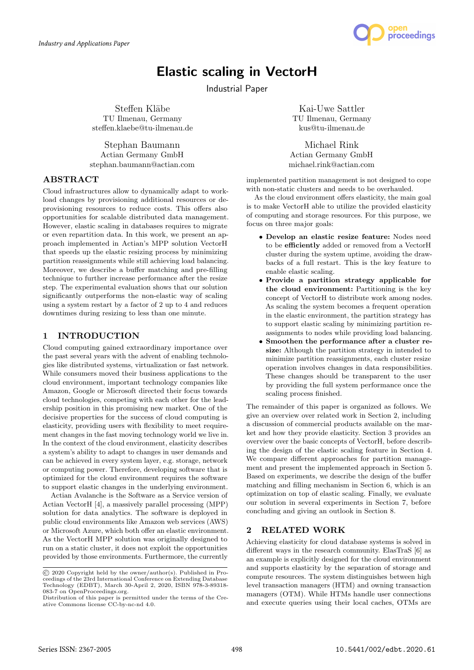

# Elastic scaling in VectorH

Industrial Paper

Steffen Kläbe TU Ilmenau, Germany steffen.klaebe@tu-ilmenau.de

Stephan Baumann Actian Germany GmbH stephan.baumann@actian.com

# ABSTRACT

Cloud infrastructures allow to dynamically adapt to workload changes by provisioning additional resources or deprovisioning resources to reduce costs. This offers also opportunities for scalable distributed data management. However, elastic scaling in databases requires to migrate or even repartition data. In this work, we present an approach implemented in Actian's MPP solution VectorH that speeds up the elastic resizing process by minimizing partition reassignments while still achieving load balancing. Moreover, we describe a buffer matching and pre-filling technique to further increase performance after the resize step. The experimental evaluation shows that our solution significantly outperforms the non-elastic way of scaling using a system restart by a factor of 2 up to 4 and reduces downtimes during resizing to less than one minute.

# 1 INTRODUCTION

Cloud computing gained extraordinary importance over the past several years with the advent of enabling technologies like distributed systems, virtualization or fast network. While consumers moved their business applications to the cloud environment, important technology companies like Amazon, Google or Microsoft directed their focus towards cloud technologies, competing with each other for the leadership position in this promising new market. One of the decisive properties for the success of cloud computing is elasticity, providing users with flexibility to meet requirement changes in the fast moving technology world we live in. In the context of the cloud environment, elasticity describes a system's ability to adapt to changes in user demands and can be achieved in every system layer, e.g. storage, network or computing power. Therefore, developing software that is optimized for the cloud environment requires the software to support elastic changes in the underlying environment.

Actian Avalanche is the Software as a Service version of Actian VectorH [4], a massively parallel processing (MPP) solution for data analytics. The software is deployed in public cloud environments like Amazon web services (AWS) or Microsoft Azure, which both offer an elastic environment. As the VectorH MPP solution was originally designed to run on a static cluster, it does not exploit the opportunities provided by those environments. Furthermore, the currently

Kai-Uwe Sattler TU Ilmenau, Germany kus@tu-ilmenau.de

Michael Rink Actian Germany GmbH michael.rink@actian.com

implemented partition management is not designed to cope with non-static clusters and needs to be overhauled.

As the cloud environment offers elasticity, the main goal is to make VectorH able to utilize the provided elasticity of computing and storage resources. For this purpose, we focus on three major goals:

- ∙ Develop an elastic resize feature: Nodes need to be efficiently added or removed from a VectorH cluster during the system uptime, avoiding the drawbacks of a full restart. This is the key feature to enable elastic scaling.
- ∙ Provide a partition strategy applicable for the cloud environment: Partitioning is the key concept of VectorH to distribute work among nodes. As scaling the system becomes a frequent operation in the elastic environment, the partition strategy has to support elastic scaling by minimizing partition reassignments to nodes while providing load balancing.
- ∙ Smoothen the performance after a cluster resize: Although the partition strategy in intended to minimize partition reassignments, each cluster resize operation involves changes in data responsibilities. These changes should be transparent to the user by providing the full system performance once the scaling process finished.

The remainder of this paper is organized as follows. We give an overview over related work in Section 2, including a discussion of commercial products available on the market and how they provide elasticity. Section 3 provides an overview over the basic concepts of VectorH, before describing the design of the elastic scaling feature in Section 4. We compare different approaches for partition management and present the implemented approach in Section 5. Based on experiments, we describe the design of the buffer matching and filling mechanism in Section 6, which is an optimization on top of elastic scaling. Finally, we evaluate our solution in several experiments in Section 7, before concluding and giving an outlook in Section 8.

# 2 RELATED WORK

Achieving elasticity for cloud database systems is solved in different ways in the research community. ElasTraS [6] as an example is explicitly designed for the cloud environment and supports elasticity by the separation of storage and compute resources. The system distinguishes between high level transaction managers (HTM) and owning transaction managers (OTM). While HTMs handle user connections and execute queries using their local caches, OTMs are

<sup>©</sup> 2020 Copyright held by the owner/author(s). Published in Proceedings of the 23rd International Conference on Extending Database Technology (EDBT), March 30-April 2, 2020, ISBN 978-3-89318- 083-7 on OpenProceedings.org.

Distribution of this paper is permitted under the terms of the Creative Commons license CC-by-nc-nd 4.0.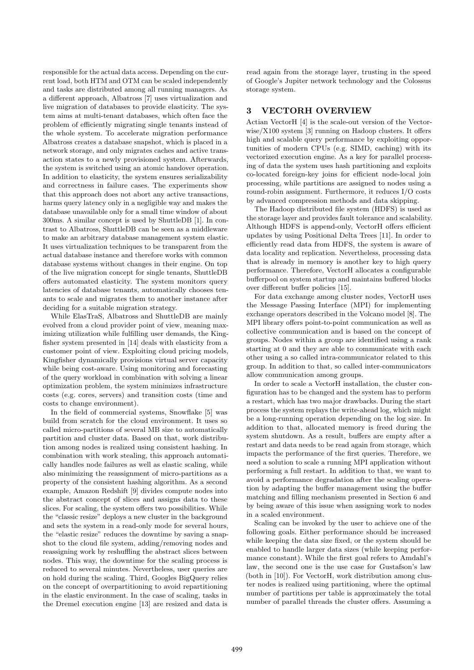responsible for the actual data access. Depending on the current load, both HTM and OTM can be scaled independently and tasks are distributed among all running managers. As a different approach, Albatross [7] uses virtualization and live migration of databases to provide elasticity. The system aims at multi-tenant databases, which often face the problem of efficiently migrating single tenants instead of the whole system. To accelerate migration performance Albatross creates a database snapshot, which is placed in a network storage, and only migrates caches and active transaction states to a newly provisioned system. Afterwards, the system is switched using an atomic handover operation. In addition to elasticity, the system ensures serializability and correctness in failure cases. The experiments show that this approach does not abort any active transactions, harms query latency only in a negligible way and makes the database unavailable only for a small time window of about 300ms. A similar concept is used by ShuttleDB [1]. In contrast to Albatross, ShuttleDB can be seen as a middleware to make an arbitrary database management system elastic. It uses virtualization techniques to be transparent from the actual database instance and therefore works with common database systems without changes in their engine. On top of the live migration concept for single tenants, ShuttleDB offers automated elasticity. The system monitors query latencies of database tenants, automatically chooses tenants to scale and migrates them to another instance after deciding for a suitable migration strategy.

While ElasTraS, Albatross and ShuttleDB are mainly evolved from a cloud provider point of view, meaning maximizing utilization while fulfilling user demands, the Kingfisher system presented in [14] deals with elasticity from a customer point of view. Exploiting cloud pricing models, Kingfisher dynamically provisions virtual server capacity while being cost-aware. Using monitoring and forecasting of the query workload in combination with solving a linear optimization problem, the system minimizes infrastructure costs (e.g. cores, servers) and transition costs (time and costs to change environment).

In the field of commercial systems, Snowflake [5] was build from scratch for the cloud environment. It uses so called micro-partitions of several MB size to automatically partition and cluster data. Based on that, work distribution among nodes is realized using consistent hashing. In combination with work stealing, this approach automatically handles node failures as well as elastic scaling, while also minimizing the reassignment of micro-partitions as a property of the consistent hashing algorithm. As a second example, Amazon Redshift [9] divides compute nodes into the abstract concept of slices and assigns data to these slices. For scaling, the system offers two possibilities. While the "classic resize" deploys a new cluster in the background and sets the system in a read-only mode for several hours, the "elastic resize" reduces the downtime by saving a snapshot to the cloud file system, adding/removing nodes and reassigning work by reshuffling the abstract slices between nodes. This way, the downtime for the scaling process is reduced to several minutes. Nevertheless, user queries are on hold during the scaling. Third, Googles BigQuery relies on the concept of overpartitioning to avoid repartitioning in the elastic environment. In the case of scaling, tasks in the Dremel execution engine [13] are resized and data is

read again from the storage layer, trusting in the speed of Google's Jupiter network technology and the Colossus storage system.

# 3 VECTORH OVERVIEW

Actian VectorH [4] is the scale-out version of the Vectorwise/X100 system [3] running on Hadoop clusters. It offers high and scalable query performance by exploiting opportunities of modern CPUs (e.g. SIMD, caching) with its vectorized execution engine. As a key for parallel processing of data the system uses hash partitioning and exploits co-located foreign-key joins for efficient node-local join processing, while partitions are assigned to nodes using a round-robin assignment. Furthermore, it reduces I/O costs by advanced compression methods and data skipping.

The Hadoop distributed file system (HDFS) is used as the storage layer and provides fault tolerance and scalability. Although HDFS is append-only, VectorH offers efficient updates by using Positional Delta Trees [11]. In order to efficiently read data from HDFS, the system is aware of data locality and replication. Nevertheless, processing data that is already in memory is another key to high query performance. Therefore, VectorH allocates a configurable bufferpool on system startup and maintains buffered blocks over different buffer policies [15].

For data exchange among cluster nodes, VectorH uses the Message Passing Interface (MPI) for implementing exchange operators described in the Volcano model [8]. The MPI library offers point-to-point communication as well as collective communication and is based on the concept of groups. Nodes within a group are identified using a rank starting at 0 and they are able to communicate with each other using a so called intra-communicator related to this group. In addition to that, so called inter-communicators allow communication among groups.

In order to scale a VectorH installation, the cluster configuration has to be changed and the system has to perform a restart, which has two major drawbacks. During the start process the system replays the write-ahead log, which might be a long-running operation depending on the log size. In addition to that, allocated memory is freed during the system shutdown. As a result, buffers are empty after a restart and data needs to be read again from storage, which impacts the performance of the first queries. Therefore, we need a solution to scale a running MPI application without performing a full restart. In addition to that, we want to avoid a performance degradation after the scaling operation by adapting the buffer management using the buffer matching and filling mechanism presented in Section 6 and by being aware of this issue when assigning work to nodes in a scaled environment.

Scaling can be invoked by the user to achieve one of the following goals. Either performance should be increased while keeping the data size fixed, or the system should be enabled to handle larger data sizes (while keeping performance constant). While the first goal refers to Amdahl's law, the second one is the use case for Gustafson's law (both in [10]). For VectorH, work distribution among cluster nodes is realized using partitioning, where the optimal number of partitions per table is approximately the total number of parallel threads the cluster offers. Assuming a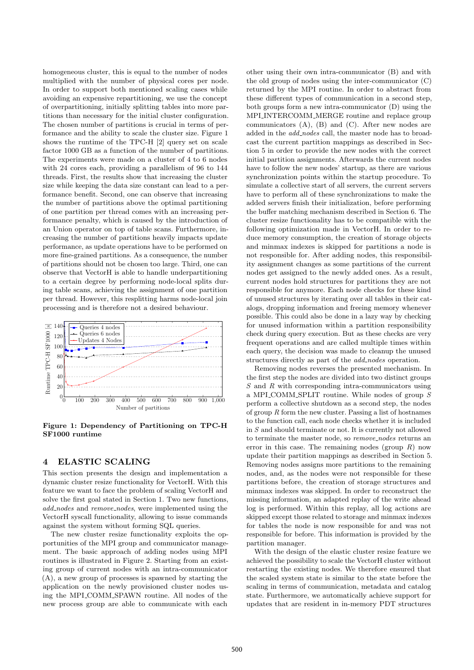homogeneous cluster, this is equal to the number of nodes multiplied with the number of physical cores per node. In order to support both mentioned scaling cases while avoiding an expensive repartitioning, we use the concept of overpartitioning, initially splitting tables into more partitions than necessary for the initial cluster configuration. The chosen number of partitions is crucial in terms of performance and the ability to scale the cluster size. Figure 1 shows the runtime of the TPC-H [2] query set on scale factor 1000 GB as a function of the number of partitions. The experiments were made on a cluster of 4 to 6 nodes with 24 cores each, providing a parallelism of 96 to 144 threads. First, the results show that increasing the cluster size while keeping the data size constant can lead to a performance benefit. Second, one can observe that increasing the number of partitions above the optimal partitioning of one partition per thread comes with an increasing performance penalty, which is caused by the introduction of an Union operator on top of table scans. Furthermore, increasing the number of partitions heavily impacts update performance, as update operations have to be performed on more fine-grained partitions. As a consequence, the number of partitions should not be chosen too large. Third, one can observe that VectorH is able to handle underpartitioning to a certain degree by performing node-local splits during table scans, achieving the assignment of one partition per thread. However, this resplitting harms node-local join processing and is therefore not a desired behaviour.



Figure 1: Dependency of Partitioning on TPC-H SF1000 runtime

#### 4 ELASTIC SCALING

This section presents the design and implementation a dynamic cluster resize functionality for VectorH. With this feature we want to face the problem of scaling VectorH and solve the first goal stated in Section 1. Two new functions, add\_nodes and remove\_nodes, were implemented using the VectorH syscall functionality, allowing to issue commands against the system without forming SQL queries.

The new cluster resize functionality exploits the opportunities of the MPI group and communicator management. The basic approach of adding nodes using MPI routines is illustrated in Figure 2. Starting from an existing group of current nodes with an intra-communicator (A), a new group of processes is spawned by starting the application on the newly provisioned cluster nodes using the MPI\_COMM\_SPAWN routine. All nodes of the new process group are able to communicate with each

other using their own intra-communicator (B) and with the old group of nodes using the inter-communicator (C) returned by the MPI routine. In order to abstract from these different types of communication in a second step, both groups form a new intra-communicator (D) using the MPI INTERCOMM MERGE routine and replace group communicators (A), (B) and (C). After new nodes are added in the *add\_nodes* call, the master node has to broadcast the current partition mappings as described in Section 5 in order to provide the new nodes with the correct initial partition assignments. Afterwards the current nodes have to follow the new nodes' startup, as there are various synchronization points within the startup procedure. To simulate a collective start of all servers, the current servers have to perform all of these synchronizations to make the added servers finish their initialization, before performing the buffer matching mechanism described in Section 6. The cluster resize functionality has to be compatible with the following optimization made in VectorH. In order to reduce memory consumption, the creation of storage objects and minmax indexes is skipped for partitions a node is not responsible for. After adding nodes, this responsibility assignment changes as some partitions of the current nodes get assigned to the newly added ones. As a result, current nodes hold structures for partitions they are not responsible for anymore. Each node checks for these kind of unused structures by iterating over all tables in their catalogs, dropping information and freeing memory whenever possible. This could also be done in a lazy way by checking for unused information within a partition responsibility check during query execution. But as these checks are very frequent operations and are called multiple times within each query, the decision was made to cleanup the unused structures directly as part of the *add\_nodes* operation.

Removing nodes reverses the presented mechanism. In the first step the nodes are divided into two distinct groups  $S$  and  $R$  with corresponding intra-communicators using a MPI COMM SPLIT routine. While nodes of group  $S$ perform a collective shutdown as a second step, the nodes of group  $R$  form the new cluster. Passing a list of hostnames to the function call, each node checks whether it is included in S and should terminate or not. It is currently not allowed to terminate the master node, so *remove\_nodes* returns an error in this case. The remaining nodes (group  $R$ ) now update their partition mappings as described in Section 5. Removing nodes assigns more partitions to the remaining nodes, and, as the nodes were not responsible for these partitions before, the creation of storage structures and minmax indexes was skipped. In order to reconstruct the missing information, an adapted replay of the write ahead log is performed. Within this replay, all log actions are skipped except those related to storage and minmax indexes for tables the node is now responsible for and was not responsible for before. This information is provided by the partition manager.

With the design of the elastic cluster resize feature we achieved the possibility to scale the VectorH cluster without restarting the existing nodes. We therefore ensured that the scaled system state is similar to the state before the scaling in terms of communication, metadata and catalog state. Furthermore, we automatically achieve support for updates that are resident in in-memory PDT structures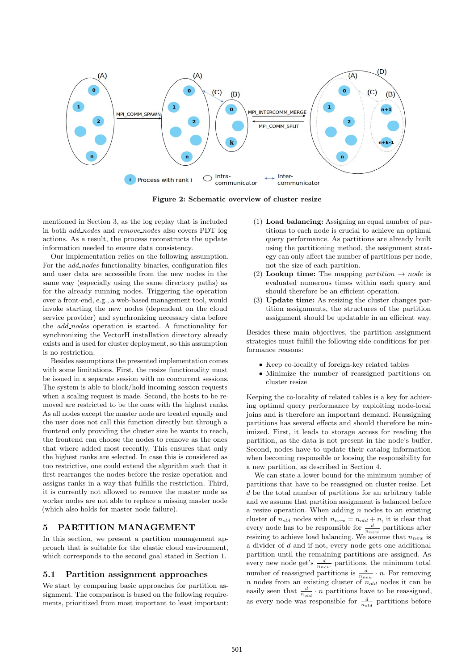

Figure 2: Schematic overview of cluster resize

mentioned in Section 3, as the log replay that is included in both *add\_nodes* and *remove\_nodes* also covers PDT log actions. As a result, the process reconstructs the update information needed to ensure data consistency.

Our implementation relies on the following assumption. For the *add\_nodes* functionality binaries, configuration files and user data are accessible from the new nodes in the same way (especially using the same directory paths) as for the already running nodes. Triggering the operation over a front-end, e.g., a web-based management tool, would invoke starting the new nodes (dependent on the cloud service provider) and synchronizing necessary data before the *add\_nodes* operation is started. A functionality for synchronizing the VectorH installation directory already exists and is used for cluster deployment, so this assumption is no restriction.

Besides assumptions the presented implementation comes with some limitations. First, the resize functionality must be issued in a separate session with no concurrent sessions. The system is able to block/hold incoming session requests when a scaling request is made. Second, the hosts to be removed are restricted to be the ones with the highest ranks. As all nodes except the master node are treated equally and the user does not call this function directly but through a frontend only providing the cluster size he wants to reach, the frontend can choose the nodes to remove as the ones that where added most recently. This ensures that only the highest ranks are selected. In case this is considered as too restrictive, one could extend the algorithm such that it first rearranges the nodes before the resize operation and assigns ranks in a way that fulfills the restriction. Third, it is currently not allowed to remove the master node as worker nodes are not able to replace a missing master node (which also holds for master node failure).

### 5 PARTITION MANAGEMENT

In this section, we present a partition management approach that is suitable for the elastic cloud environment, which corresponds to the second goal stated in Section 1.

#### 5.1 Partition assignment approaches

We start by comparing basic approaches for partition assignment. The comparison is based on the following requirements, prioritized from most important to least important:

- (1) Load balancing: Assigning an equal number of partitions to each node is crucial to achieve an optimal query performance. As partitions are already built using the partitioning method, the assignment strategy can only affect the number of partitions per node, not the size of each partition.
- (2) Lookup time: The mapping *partition*  $\rightarrow$  *node* is evaluated numerous times within each query and should therefore be an efficient operation.
- (3) Update time: As resizing the cluster changes partition assignments, the structures of the partition assignment should be updatable in an efficient way.

Besides these main objectives, the partition assignment strategies must fulfill the following side conditions for performance reasons:

- ∙ Keep co-locality of foreign-key related tables
- ∙ Minimize the number of reassigned partitions on cluster resize

Keeping the co-locality of related tables is a key for achieving optimal query performance by exploiting node-local joins and is therefore an important demand. Reassigning partitions has several effects and should therefore be minimized. First, it leads to storage access for reading the partition, as the data is not present in the node's buffer. Second, nodes have to update their catalog information when becoming responsible or loosing the responsibility for a new partition, as described in Section 4.

We can state a lower bound for the minimum number of partitions that have to be reassigned on cluster resize. Let  $d$  be the total number of partitions for an arbitrary table and we assume that partition assignment is balanced before a resize operation. When adding  $n$  nodes to an existing cluster of  $n_{old}$  nodes with  $n_{new} = n_{old} + n$ , it is clear that every node has to be responsible for  $\frac{d}{n_{new}}$  partitions after resizing to achieve load balancing. We assume that  $n_{new}$  is a divider of  $d$  and if not, every node gets one additional partition until the remaining partitions are assigned. As every new node get's  $\frac{d}{n_{new}}$  partitions, the minimum total number of reassigned partitions is  $\frac{d}{n_{new}} \cdot n$ . For removing  $n$  nodes from an existing cluster of  $n_{old}$  nodes it can be easily seen that  $\frac{d}{n_{old}} \cdot n$  partitions have to be reassigned, as every node was responsible for  $\frac{d}{n_{old}}$  partitions before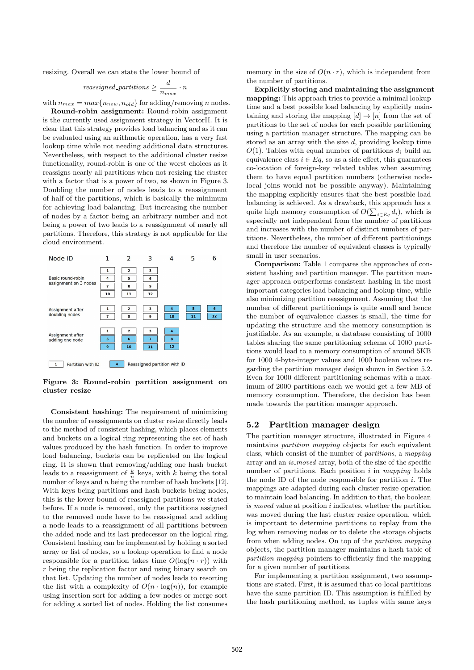resizing. Overall we can state the lower bound of

$$
reassigned\_partitions \ge \frac{d}{n_{max}} \cdot n
$$

with  $n_{max} = max\{n_{new}, n_{old}\}\$ for adding/removing *n* nodes.

Round-robin assignment: Round-robin assignment is the currently used assignment strategy in VectorH. It is clear that this strategy provides load balancing and as it can be evaluated using an arithmetic operation, has a very fast lookup time while not needing additional data structures. Nevertheless, with respect to the additional cluster resize functionality, round-robin is one of the worst choices as it reassigns nearly all partitions when not resizing the cluster with a factor that is a power of two, as shown in Figure 3. Doubling the number of nodes leads to a reassignment of half of the partitions, which is basically the minimum for achieving load balancing. But increasing the number of nodes by a factor being an arbitrary number and not being a power of two leads to a reassignment of nearly all partitions. Therefore, this strategy is not applicable for the cloud environment.



Figure 3: Round-robin partition assignment on cluster resize

Consistent hashing: The requirement of minimizing the number of reassignments on cluster resize directly leads to the method of consistent hashing, which places elements and buckets on a logical ring representing the set of hash values produced by the hash function. In order to improve load balancing, buckets can be replicated on the logical ring. It is shown that removing/adding one hash bucket leads to a reassignment of  $\frac{k}{n}$  keys, with k being the total number of keys and  $n$  being the number of hash buckets [12]. With keys being partitions and hash buckets being nodes, this is the lower bound of reassigned partitions we stated before. If a node is removed, only the partitions assigned to the removed node have to be reassigned and adding a node leads to a reassignment of all partitions between the added node and its last predecessor on the logical ring. Consistent hashing can be implemented by holding a sorted array or list of nodes, so a lookup operation to find a node responsible for a partition takes time  $O(\log(n \cdot r))$  with  $r$  being the replication factor and using binary search on that list. Updating the number of nodes leads to resorting the list with a complexity of  $O(n \cdot \log(n))$ , for example using insertion sort for adding a few nodes or merge sort for adding a sorted list of nodes. Holding the list consumes

memory in the size of  $O(n \cdot r)$ , which is independent from the number of partitions.

Explicitly storing and maintaining the assignment mapping: This approach tries to provide a minimal lookup time and a best possible load balancing by explicitly maintaining and storing the mapping  $[d] \rightarrow [n]$  from the set of partitions to the set of nodes for each possible partitioning using a partition manager structure. The mapping can be stored as an array with the size  $d$ , providing lookup time  $O(1)$ . Tables with equal number of partitions  $d_i$  build an equivalence class  $i \in Eq$ , so as a side effect, this guarantees co-location of foreign-key related tables when assuming them to have equal partition numbers (otherwise nodelocal joins would not be possible anyway). Maintaining the mapping explicitly ensures that the best possible load balancing is achieved. As a drawback, this approach has a quite high memory consumption of  $O(\sum_{i \in Eq} d_i)$ , which is especially not independent from the number of partitions and increases with the number of distinct numbers of partitions. Nevertheless, the number of different partitionings and therefore the number of equivalent classes is typically small in user scenarios.

Comparison: Table 1 compares the approaches of consistent hashing and partition manager. The partition manager approach outperforms consistent hashing in the most important categories load balancing and lookup time, while also minimizing partition reassignment. Assuming that the number of different partitionings is quite small and hence the number of equivalence classes is small, the time for updating the structure and the memory consumption is justifiable. As an example, a database consisting of 1000 tables sharing the same partitioning schema of 1000 partitions would lead to a memory consumption of around 5KB for 1000 4-byte-integer values and 1000 boolean values regarding the partition manager design shown in Section 5.2. Even for 1000 different partitioning schemas with a maximum of 2000 partitions each we would get a few MB of memory consumption. Therefore, the decision has been made towards the partition manager approach.

#### 5.2 Partition manager design

The partition manager structure, illustrated in Figure 4 maintains partition mapping objects for each equivalent class, which consist of the number of partitions, a mapping array and an is moved array, both of the size of the specific number of partitions. Each position  $i$  in mapping holds the node ID of the node responsible for partition  $i$ . The mappings are adapted during each cluster resize operation to maintain load balancing. In addition to that, the boolean  $is$ *moved* value at position  $i$  indicates, whether the partition was moved during the last cluster resize operation, which is important to determine partitions to replay from the log when removing nodes or to delete the storage objects from when adding nodes. On top of the partition mapping objects, the partition manager maintains a hash table of partition mapping pointers to efficiently find the mapping for a given number of partitions.

For implementing a partition assignment, two assumptions are stated. First, it is assumed that co-local partitions have the same partition ID. This assumption is fulfilled by the hash partitioning method, as tuples with same keys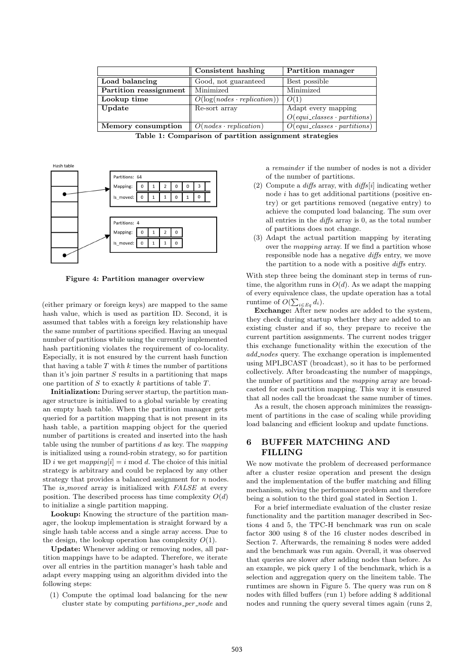|                        | Partition manager<br>Consistent hashing |                                                         |  |
|------------------------|-----------------------------------------|---------------------------------------------------------|--|
| Load balancing         | Good, not guaranteed                    | Best possible                                           |  |
| Partition reassignment | Minimized                               | Minimized                                               |  |
| Lookup time            | $O(log(nodes \cdot replication))$       | O(1)                                                    |  |
| Update                 | Re-sort array                           | Adapt every mapping                                     |  |
|                        |                                         | $O(\text{equi}\_\text{classes}\cdot \text{partitions})$ |  |
| Memory consumption     | $O(nodes \cdot replication)$            | $O(\text{equi}\_\text{classes}\cdot \text{partitions})$ |  |

Table 1: Comparison of partition assignment strategies



Figure 4: Partition manager overview

(either primary or foreign keys) are mapped to the same hash value, which is used as partition ID. Second, it is assumed that tables with a foreign key relationship have the same number of partitions specified. Having an unequal number of partitions while using the currently implemented hash partitioning violates the requirement of co-locality. Especially, it is not ensured by the current hash function that having a table  $T$  with  $k$  times the number of partitions than it's join partner  $S$  results in a partitioning that maps one partition of  $S$  to exactly  $k$  partitions of table  $T$ .

Initialization: During server startup, the partition manager structure is initialized to a global variable by creating an empty hash table. When the partition manager gets queried for a partition mapping that is not present in its hash table, a partition mapping object for the queried number of partitions is created and inserted into the hash table using the number of partitions  $d$  as key. The mapping is initialized using a round-robin strategy, so for partition ID *i* we get  $mapping[i] = i \text{ mod } d$ . The choice of this initial strategy is arbitrary and could be replaced by any other strategy that provides a balanced assignment for  $n$  nodes. The *is moved* array is initialized with FALSE at every position. The described process has time complexity  $O(d)$ to initialize a single partition mapping.

Lookup: Knowing the structure of the partition manager, the lookup implementation is straight forward by a single hash table access and a single array access. Due to the design, the lookup operation has complexity  $O(1)$ .

Update: Whenever adding or removing nodes, all partition mappings have to be adapted. Therefore, we iterate over all entries in the partition manager's hash table and adapt every mapping using an algorithm divided into the following steps:

(1) Compute the optimal load balancing for the new cluster state by computing partitions per node and a remainder if the number of nodes is not a divider of the number of partitions.

- (2) Compute a diffs array, with  $diffs[i]$  indicating wether node  $i$  has to get additional partitions (positive entry) or get partitions removed (negative entry) to achieve the computed load balancing. The sum over all entries in the diffs array is 0, as the total number of partitions does not change.
- (3) Adapt the actual partition mapping by iterating over the *mapping* array. If we find a partition whose responsible node has a negative diffs entry, we move the partition to a node with a positive diffs entry.

With step three being the dominant step in terms of runtime, the algorithm runs in  $O(d)$ . As we adapt the mapping of every equivalence class, the update operation has a total runtime of  $O(\sum_{i \in Eq} d_i)$ .

Exchange: After new nodes are added to the system, they check during startup whether they are added to an existing cluster and if so, they prepare to receive the current partition assignments. The current nodes trigger this exchange functionality within the execution of the add\_nodes query. The exchange operation is implemented using MPI BCAST (broadcast), so it has to be performed collectively. After broadcasting the number of mappings, the number of partitions and the mapping array are broadcasted for each partition mapping. This way it is ensured that all nodes call the broadcast the same number of times.

As a result, the chosen approach minimizes the reassignment of partitions in the case of scaling while providing load balancing and efficient lookup and update functions.

# 6 BUFFER MATCHING AND FILLING

We now motivate the problem of decreased performance after a cluster resize operation and present the design and the implementation of the buffer matching and filling mechanism, solving the performance problem and therefore being a solution to the third goal stated in Section 1.

For a brief intermediate evaluation of the cluster resize functionality and the partition manager described in Sections 4 and 5, the TPC-H benchmark was run on scale factor 300 using 8 of the 16 cluster nodes described in Section 7. Afterwards, the remaining 8 nodes were added and the benchmark was run again. Overall, it was observed that queries are slower after adding nodes than before. As an example, we pick query 1 of the benchmark, which is a selection and aggregation query on the lineitem table. The runtimes are shown in Figure 5. The query was run on 8 nodes with filled buffers (run 1) before adding 8 additional nodes and running the query several times again (runs 2,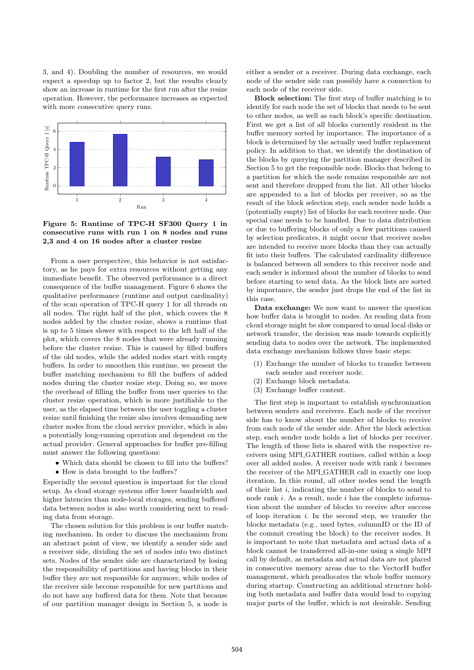3, and 4). Doubling the number of resources, we would expect a speedup up to factor 2, but the results clearly show an increase in runtime for the first run after the resize operation. However, the performance increases as expected with more consecutive query runs.



Figure 5: Runtime of TPC-H SF300 Query 1 in consecutive runs with run 1 on 8 nodes and runs 2,3 and 4 on 16 nodes after a cluster resize

From a user perspective, this behavior is not satisfactory, as he pays for extra resources without getting any immediate benefit. The observed performance is a direct consequence of the buffer management. Figure 6 shows the qualitative performance (runtime and output cardinality) of the scan operation of TPC-H query 1 for all threads on all nodes. The right half of the plot, which covers the 8 nodes added by the cluster resize, shows a runtime that is up to 5 times slower with respect to the left half of the plot, which covers the 8 nodes that were already running before the cluster resize. This is caused by filled buffers of the old nodes, while the added nodes start with empty buffers. In order to smoothen this runtime, we present the buffer matching mechanism to fill the buffers of added nodes during the cluster resize step. Doing so, we move the overhead of filling the buffer from user queries to the cluster resize operation, which is more justifiable to the user, as the elapsed time between the user toggling a cluster resize until finishing the resize also involves demanding new cluster nodes from the cloud service provider, which is also a potentially long-running operation and dependent on the actual provider. General approaches for buffer pre-filling must answer the following questions:

- ∙ Which data should be chosen to fill into the buffers?
- ∙ How is data brought to the buffers?

Especially the second question is important for the cloud setup. As cloud storage systems offer lower bandwidth and higher latencies than node-local storages, sending buffered data between nodes is also worth considering next to reading data from storage.

The chosen solution for this problem is our buffer matching mechanism. In order to discuss the mechanism from an abstract point of view, we identify a sender side and a receiver side, dividing the set of nodes into two distinct sets. Nodes of the sender side are characterized by losing the responsibility of partitions and having blocks in their buffer they are not responsible for anymore, while nodes of the receiver side become responsible for new partitions and do not have any buffered data for them. Note that because of our partition manager design in Section 5, a node is

either a sender or a receiver. During data exchange, each node of the sender side can possibly have a connection to each node of the receiver side.

Block selection: The first step of buffer matching is to identify for each node the set of blocks that needs to be sent to other nodes, as well as each block's specific destination. First we get a list of all blocks currently resident in the buffer memory sorted by importance. The importance of a block is determined by the actually used buffer replacement policy. In addition to that, we identify the destination of the blocks by querying the partition manager described in Section 5 to get the responsible node. Blocks that belong to a partition for which the node remains responsible are not sent and therefore dropped from the list. All other blocks are appended to a list of blocks per receiver, so as the result of the block selection step, each sender node holds a (potentially empty) list of blocks for each receiver node. One special case needs to be handled. Due to data distribution or due to buffering blocks of only a few partitions caused by selection predicates, it might occur that receiver nodes are intended to receive more blocks than they can actually fit into their buffers. The calculated cardinality difference is balanced between all senders to this receiver node and each sender is informed about the number of blocks to send before starting to send data. As the block lists are sorted by importance, the sender just drops the end of the list in this case.

Data exchange: We now want to answer the question how buffer data is brought to nodes. As reading data from cloud storage might be slow compared to usual local disks or network transfer, the decision was made towards explicitly sending data to nodes over the network. The implemented data exchange mechanism follows three basic steps:

- (1) Exchange the number of blocks to transfer between each sender and receiver node.
- (2) Exchange block metadata.
- (3) Exchange buffer content.

The first step is important to establish synchronization between senders and receivers. Each node of the receiver side has to know about the number of blocks to receive from each node of the sender side. After the block selection step, each sender node holds a list of blocks per receiver. The length of these lists is shared with the respective receivers using MPI GATHER routines, called within a loop over all added nodes. A receiver node with rank  $i$  becomes the receiver of the MPI<sub>-GATHER</sub> call in exactly one loop iteration. In this round, all other nodes send the length of their list  $i$ , indicating the number of blocks to send to node rank  $i$ . As a result, node  $i$  has the complete information about the number of blocks to receive after success of loop iteration  $i$ . In the second step, we transfer the blocks metadata (e.g., used bytes, columnID or the ID of the commit creating the block) to the receiver nodes. It is important to note that metadata and actual data of a block cannot be transferred all-in-one using a single MPI call by default, as metadata and actual data are not placed in consecutive memory areas due to the VectorH buffer management, which preallocates the whole buffer memory during startup. Constructing an additional structure holding both metadata and buffer data would lead to copying major parts of the buffer, which is not desirable. Sending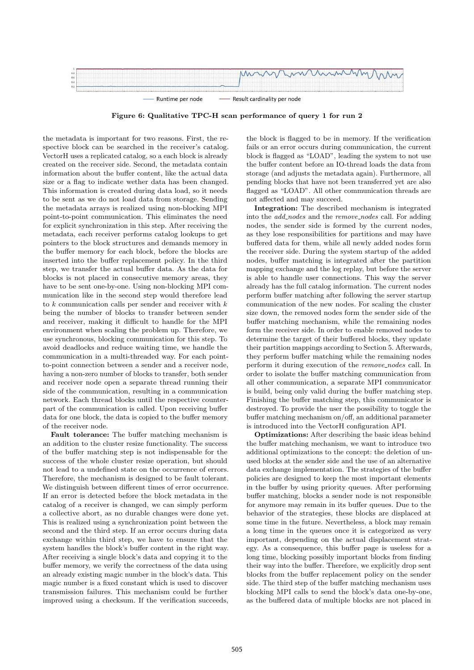

Figure 6: Qualitative TPC-H scan performance of query 1 for run 2

the metadata is important for two reasons. First, the respective block can be searched in the receiver's catalog. VectorH uses a replicated catalog, so a each block is already created on the receiver side. Second, the metadata contain information about the buffer content, like the actual data size or a flag to indicate wether data has been changed. This information is created during data load, so it needs to be sent as we do not load data from storage. Sending the metadata arrays is realized using non-blocking MPI point-to-point communication. This eliminates the need for explicit synchronization in this step. After receiving the metadata, each receiver performs catalog lookups to get pointers to the block structures and demands memory in the buffer memory for each block, before the blocks are inserted into the buffer replacement policy. In the third step, we transfer the actual buffer data. As the data for blocks is not placed in consecutive memory areas, they have to be sent one-by-one. Using non-blocking MPI communication like in the second step would therefore lead to  $k$  communication calls per sender and receiver with  $k$ being the number of blocks to transfer between sender and receiver, making it difficult to handle for the MPI environment when scaling the problem up. Therefore, we use synchronous, blocking communication for this step. To avoid deadlocks and reduce waiting time, we handle the communication in a multi-threaded way. For each pointto-point connection between a sender and a receiver node, having a non-zero number of blocks to transfer, both sender and receiver node open a separate thread running their side of the communication, resulting in a communication network. Each thread blocks until the respective counterpart of the communication is called. Upon receiving buffer data for one block, the data is copied to the buffer memory of the receiver node.

Fault tolerance: The buffer matching mechanism is an addition to the cluster resize functionality. The success of the buffer matching step is not indispensable for the success of the whole cluster resize operation, but should not lead to a undefined state on the occurrence of errors. Therefore, the mechanism is designed to be fault tolerant. We distinguish between different times of error occurrence. If an error is detected before the block metadata in the catalog of a receiver is changed, we can simply perform a collective abort, as no durable changes were done yet. This is realized using a synchronization point between the second and the third step. If an error occurs during data exchange within third step, we have to ensure that the system handles the block's buffer content in the right way. After receiving a single block's data and copying it to the buffer memory, we verify the correctness of the data using an already existing magic number in the block's data. This magic number is a fixed constant which is used to discover transmission failures. This mechanism could be further improved using a checksum. If the verification succeeds, the block is flagged to be in memory. If the verification fails or an error occurs during communication, the current block is flagged as "LOAD", leading the system to not use the buffer content before an IO-thread loads the data from storage (and adjusts the metadata again). Furthermore, all pending blocks that have not been transferred yet are also flagged as "LOAD". All other communication threads are not affected and may succeed.

Integration: The described mechanism is integrated into the *add\_nodes* and the *remove\_nodes* call. For adding nodes, the sender side is formed by the current nodes, as they lose responsibilities for partitions and may have buffered data for them, while all newly added nodes form the receiver side. During the system startup of the added nodes, buffer matching is integrated after the partition mapping exchange and the log replay, but before the server is able to handle user connections. This way the server already has the full catalog information. The current nodes perform buffer matching after following the server startup communication of the new nodes. For scaling the cluster size down, the removed nodes form the sender side of the buffer matching mechanism, while the remaining nodes form the receiver side. In order to enable removed nodes to determine the target of their buffered blocks, they update their partition mappings according to Section 5. Afterwards, they perform buffer matching while the remaining nodes perform it during execution of the remove\_nodes call. In order to isolate the buffer matching communication from all other communication, a separate MPI communicator is build, being only valid during the buffer matching step. Finishing the buffer matching step, this communicator is destroyed. To provide the user the possibility to toggle the buffer matching mechanism on/off, an additional parameter is introduced into the VectorH configuration API.

Optimizations: After describing the basic ideas behind the buffer matching mechanism, we want to introduce two additional optimizations to the concept: the deletion of unused blocks at the sender side and the use of an alternative data exchange implementation. The strategies of the buffer policies are designed to keep the most important elements in the buffer by using priority queues. After performing buffer matching, blocks a sender node is not responsible for anymore may remain in its buffer queues. Due to the behavior of the strategies, these blocks are displaced at some time in the future. Nevertheless, a block may remain a long time in the queues once it is categorized as very important, depending on the actual displacement strategy. As a consequence, this buffer page is useless for a long time, blocking possibly important blocks from finding their way into the buffer. Therefore, we explicitly drop sent blocks from the buffer replacement policy on the sender side. The third step of the buffer matching mechanism uses blocking MPI calls to send the block's data one-by-one, as the buffered data of multiple blocks are not placed in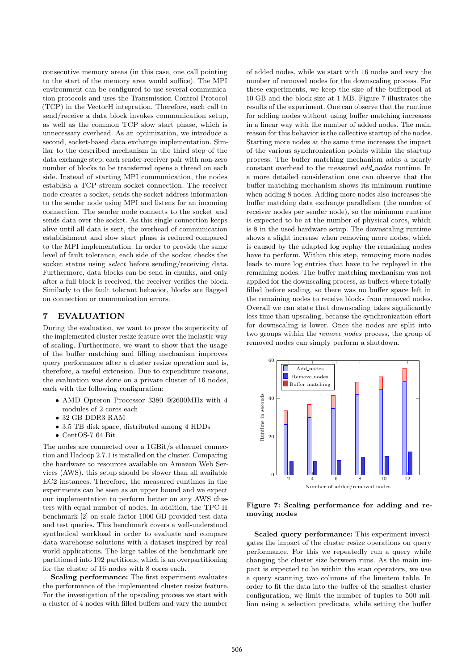consecutive memory areas (in this case, one call pointing to the start of the memory area would suffice). The MPI environment can be configured to use several communication protocols and uses the Transmission Control Protocol (TCP) in the VectorH integration. Therefore, each call to send/receive a data block invokes communication setup, as well as the common TCP slow start phase, which is unnecessary overhead. As an optimization, we introduce a second, socket-based data exchange implementation. Similar to the described mechanism in the third step of the data exchange step, each sender-receiver pair with non-zero number of blocks to be transferred opens a thread on each side. Instead of starting MPI communication, the nodes establish a TCP stream socket connection. The receiver node creates a socket, sends the socket address information to the sender node using MPI and listens for an incoming connection. The sender node connects to the socket and sends data over the socket. As this single connection keeps alive until all data is sent, the overhead of communication establishment and slow start phase is reduced compared to the MPI implementation. In order to provide the same level of fault tolerance, each side of the socket checks the socket status using *select* before sending/receiving data. Furthermore, data blocks can be send in chunks, and only after a full block is received, the receiver verifies the block. Similarly to the fault tolerant behavior, blocks are flagged on connection or communication errors.

#### 7 EVALUATION

During the evaluation, we want to prove the superiority of the implemented cluster resize feature over the inelastic way of scaling. Furthermore, we want to show that the usage of the buffer matching and filling mechanism improves query performance after a cluster resize operation and is, therefore, a useful extension. Due to expenditure reasons, the evaluation was done on a private cluster of 16 nodes, each with the following configuration:

- ∙ AMD Opteron Processor 3380 @2600MHz with 4 modules of 2 cores each
- ∙ 32 GB DDR3 RAM
- ∙ 3.5 TB disk space, distributed among 4 HDDs
- ∙ CentOS-7 64 Bit

The nodes are connected over a 1GBit/s ethernet connection and Hadoop 2.7.1 is installed on the cluster. Comparing the hardware to resources available on Amazon Web Services (AWS), this setup should be slower than all available EC2 instances. Therefore, the measured runtimes in the experiments can be seen as an upper bound and we expect our implementation to perform better on any AWS clusters with equal number of nodes. In addition, the TPC-H benchmark [2] on scale factor 1000 GB provided test data and test queries. This benchmark covers a well-understood synthetical workload in order to evaluate and compare data warehouse solutions with a dataset inspired by real world applications. The large tables of the benchmark are partitioned into 192 partitions, which is an overpartitioning for the cluster of 16 nodes with 8 cores each.

Scaling performance: The first experiment evaluates the performance of the implemented cluster resize feature. For the investigation of the upscaling process we start with a cluster of 4 nodes with filled buffers and vary the number

of added nodes, while we start with 16 nodes and vary the number of removed nodes for the downscaling process. For these experiments, we keep the size of the bufferpool at 10 GB and the block size at 1 MB. Figure 7 illustrates the results of the experiment. One can observe that the runtime for adding nodes without using buffer matching increases in a linear way with the number of added nodes. The main reason for this behavior is the collective startup of the nodes. Starting more nodes at the same time increases the impact of the various synchronization points within the startup process. The buffer matching mechanism adds a nearly constant overhead to the measured add nodes runtime. In a more detailed consideration one can observe that the buffer matching mechanism shows its minimum runtime when adding 8 nodes. Adding more nodes also increases the buffer matching data exchange parallelism (the number of receiver nodes per sender node), so the minimum runtime is expected to be at the number of physical cores, which is 8 in the used hardware setup. The downscaling runtime shows a slight increase when removing more nodes, which is caused by the adapted log replay the remaining nodes have to perform. Within this step, removing more nodes leads to more log entries that have to be replayed in the remaining nodes. The buffer matching mechanism was not applied for the downscaling process, as buffers where totally filled before scaling, so there was no buffer space left in the remaining nodes to receive blocks from removed nodes. Overall we can state that downscaling takes significantly less time than upscaling, because the synchronization effort for downscaling is lower. Once the nodes are split into two groups within the  $remove\_nodes$  process, the group of removed nodes can simply perform a shutdown.



Figure 7: Scaling performance for adding and removing nodes

Scaled query performance: This experiment investigates the impact of the cluster resize operations on query performance. For this we repeatedly run a query while changing the cluster size between runs. As the main impact is expected to be within the scan operators, we use a query scanning two columns of the lineitem table. In order to fit the data into the buffer of the smallest cluster configuration, we limit the number of tuples to 500 million using a selection predicate, while setting the buffer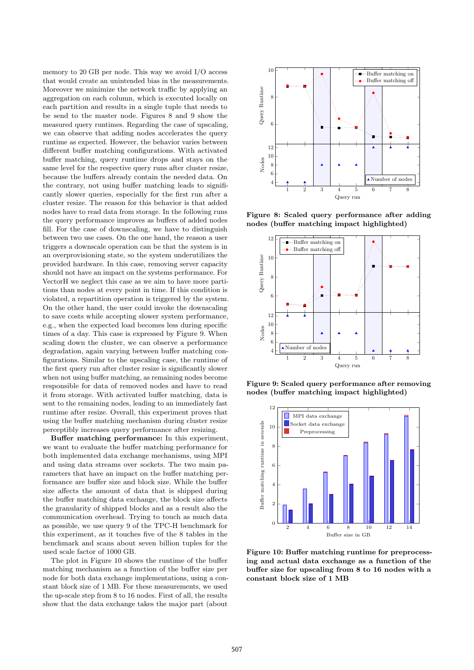memory to 20 GB per node. This way we avoid I/O access that would create an unintended bias in the measurements. Moreover we minimize the network traffic by applying an aggregation on each column, which is executed locally on each partition and results in a single tuple that needs to be send to the master node. Figures 8 and 9 show the measured query runtimes. Regarding the case of upscaling, we can observe that adding nodes accelerates the query runtime as expected. However, the behavior varies between different buffer matching configurations. With activated buffer matching, query runtime drops and stays on the same level for the respective query runs after cluster resize, because the buffers already contain the needed data. On the contrary, not using buffer matching leads to significantly slower queries, especially for the first run after a cluster resize. The reason for this behavior is that added nodes have to read data from storage. In the following runs the query performance improves as buffers of added nodes fill. For the case of downscaling, we have to distinguish between two use cases. On the one hand, the reason a user triggers a downscale operation can be that the system is in an overprovisioning state, so the system underutilizes the provided hardware. In this case, removing server capacity should not have an impact on the systems performance. For VectorH we neglect this case as we aim to have more partitions than nodes at every point in time. If this condition is violated, a repartition operation is triggered by the system. On the other hand, the user could invoke the downscaling to save costs while accepting slower system performance, e.g., when the expected load becomes less during specific times of a day. This case is expressed by Figure 9. When scaling down the cluster, we can observe a performance degradation, again varying between buffer matching configurations. Similar to the upscaling case, the runtime of the first query run after cluster resize is significantly slower when not using buffer matching, as remaining nodes become responsible for data of removed nodes and have to read it from storage. With activated buffer matching, data is sent to the remaining nodes, leading to an immediately fast runtime after resize. Overall, this experiment proves that using the buffer matching mechanism during cluster resize perceptibly increases query performance after resizing.

Buffer matching performance: In this experiment, we want to evaluate the buffer matching performance for both implemented data exchange mechanisms, using MPI and using data streams over sockets. The two main parameters that have an impact on the buffer matching performance are buffer size and block size. While the buffer size affects the amount of data that is shipped during the buffer matching data exchange, the block size affects the granularity of shipped blocks and as a result also the communication overhead. Trying to touch as much data as possible, we use query 9 of the TPC-H benchmark for this experiment, as it touches five of the 8 tables in the benchmark and scans about seven billion tuples for the used scale factor of 1000 GB.

The plot in Figure 10 shows the runtime of the buffer matching mechanism as a function of the buffer size per node for both data exchange implementations, using a constant block size of 1 MB. For these measurements, we used the up-scale step from 8 to 16 nodes. First of all, the results show that the data exchange takes the major part (about



Figure 8: Scaled query performance after adding nodes (buffer matching impact highlighted)



Figure 9: Scaled query performance after removing nodes (buffer matching impact highlighted)



Figure 10: Buffer matching runtime for preprocessing and actual data exchange as a function of the buffer size for upscaling from 8 to 16 nodes with a constant block size of 1 MB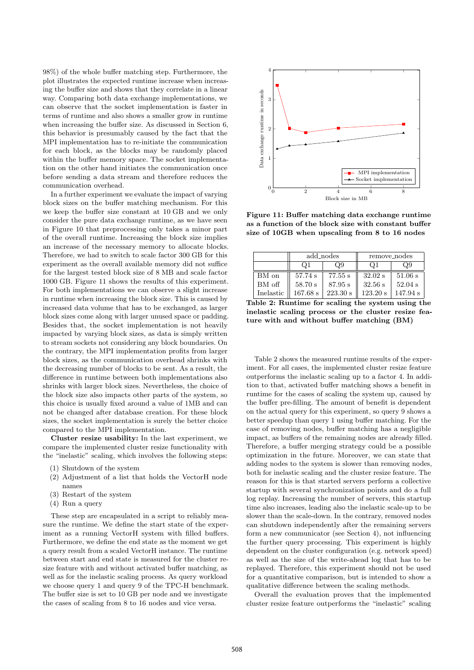98%) of the whole buffer matching step. Furthermore, the plot illustrates the expected runtime increase when increasing the buffer size and shows that they correlate in a linear way. Comparing both data exchange implementations, we can observe that the socket implementation is faster in terms of runtime and also shows a smaller grow in runtime when increasing the buffer size. As discussed in Section 6, this behavior is presumably caused by the fact that the MPI implementation has to re-initiate the communication for each block, as the blocks may be randomly placed within the buffer memory space. The socket implementation on the other hand initiates the communication once before sending a data stream and therefore reduces the communication overhead.

In a further experiment we evaluate the impact of varying block sizes on the buffer matching mechanism. For this we keep the buffer size constant at 10 GB and we only consider the pure data exchange runtime, as we have seen in Figure 10 that preprocessing only takes a minor part of the overall runtime. Increasing the block size implies an increase of the necessary memory to allocate blocks. Therefore, we had to switch to scale factor 300 GB for this experiment as the overall available memory did not suffice for the largest tested block size of 8 MB and scale factor 1000 GB. Figure 11 shows the results of this experiment. For both implementations we can observe a slight increase in runtime when increasing the block size. This is caused by increased data volume that has to be exchanged, as larger block sizes come along with larger unused space or padding. Besides that, the socket implementation is not heavily impacted by varying block sizes, as data is simply written to stream sockets not considering any block boundaries. On the contrary, the MPI implementation profits from larger block sizes, as the communication overhead shrinks with the decreasing number of blocks to be sent. As a result, the difference in runtime between both implementations also shrinks with larger block sizes. Nevertheless, the choice of the block size also impacts other parts of the system, so this choice is usually fixed around a value of 1MB and can not be changed after database creation. For these block sizes, the socket implementation is surely the better choice compared to the MPI implementation.

Cluster resize usability: In the last experiment, we compare the implemented cluster resize functionality with the "inelastic" scaling, which involves the following steps:

- (1) Shutdown of the system
- (2) Adjustment of a list that holds the VectorH node names
- (3) Restart of the system
- (4) Run a query

These step are encapsulated in a script to reliably measure the runtime. We define the start state of the experiment as a running VectorH system with filled buffers. Furthermore, we define the end state as the moment we get a query result from a scaled VectorH instance. The runtime between start and end state is measured for the cluster resize feature with and without activated buffer matching, as well as for the inelastic scaling process. As query workload we choose query 1 and query 9 of the TPC-H benchmark. The buffer size is set to 10 GB per node and we investigate the cases of scaling from 8 to 16 nodes and vice versa.



Figure 11: Buffer matching data exchange runtime as a function of the block size with constant buffer size of 10GB when upscaling from 8 to 16 nodes

|           | add_nodes  |          | remove_nodes |           |
|-----------|------------|----------|--------------|-----------|
|           | Οl         | Э9       |              | Ο9        |
| BM on     | 57.74 s    | 77.55 s  | $32.02$ s    | 51.06 s   |
| BM off    | 58.70 s    | 87.95 s  | 32.56 s      | $52.04$ s |
| Inelastic | $167.68$ s | 223.30 s | 123.20 s     | 147.94 s  |

Table 2: Runtime for scaling the system using the inelastic scaling process or the cluster resize feature with and without buffer matching (BM)

Table 2 shows the measured runtime results of the experiment. For all cases, the implemented cluster resize feature outperforms the inelastic scaling up to a factor 4. In addition to that, activated buffer matching shows a benefit in runtime for the cases of scaling the system up, caused by the buffer pre-filling. The amount of benefit is dependent on the actual query for this experiment, so query 9 shows a better speedup than query 1 using buffer matching. For the case of removing nodes, buffer matching has a negligible impact, as buffers of the remaining nodes are already filled. Therefore, a buffer merging strategy could be a possible optimization in the future. Moreover, we can state that adding nodes to the system is slower than removing nodes, both for inelastic scaling and the cluster resize feature. The reason for this is that started servers perform a collective startup with several synchronization points and do a full log replay. Increasing the number of servers, this startup time also increases, leading also the inelastic scale-up to be slower than the scale-down. In the contrary, removed nodes can shutdown independently after the remaining servers form a new communicator (see Section 4), not influencing the further query processing. This experiment is highly dependent on the cluster configuration (e.g. network speed) as well as the size of the write-ahead log that has to be replayed. Therefore, this experiment should not be used for a quantitative comparison, but is intended to show a qualitative difference between the scaling methods.

Overall the evaluation proves that the implemented cluster resize feature outperforms the "inelastic" scaling